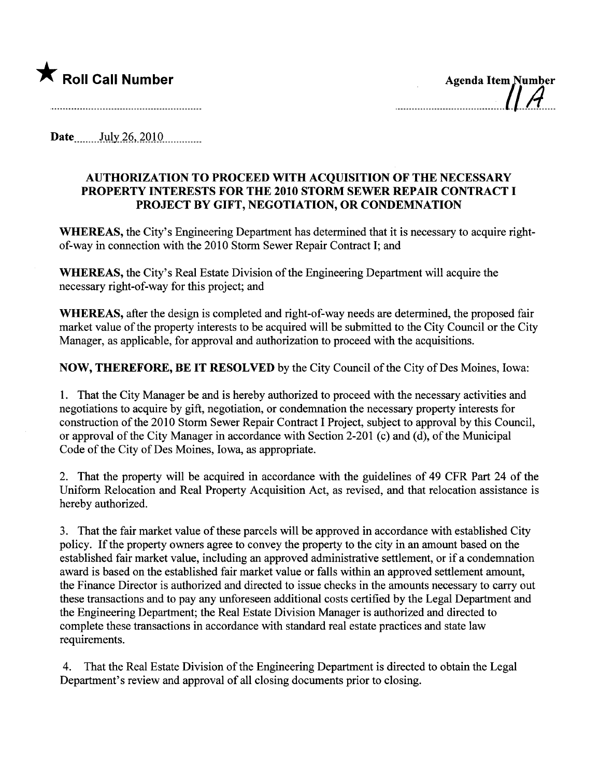

\* Roll Call Number .\_\_\_\_\_\_\_\_\_\_\_\_\_\_\_\_\_~:~~~\_a..I~elrÄ~~

Date  $July\,26, 2010$ 

## AUTHORIZATION TO PROCEED WITH ACQUISITION OF THE NECESSARY PROPERTY INTERESTS FOR THE 2010 STORM SEWER REPAIR CONTRACT I PROJECT BY GIFT, NEGOTIATION, OR CONDEMNATION

WHEREAS, the City's Engineering Department has determined that it is necessary to acquire rightof-way in connection with the 2010 Storm Sewer Repair Contract I; and

WHEREAS, the City's Real Estate Division of the Engineering Department will acquire the necessary right-of-way for this project; and

WHEREAS, after the design is completed and right-of-way needs are determined, the proposed fair market value of the property interests to be acquired will be submitted to the City Council or the City Manager, as applicable, for approval and authorization to proceed with the acquisitions.

NOW, THEREFORE, BE IT RESOLVED by the City Council of the City of Des Moines, Iowa:

1. That the City Manager be and is hereby authorized to proceed with the necessary activities and negotiations to acquire by gift, negotiation, or condemnation the necessary property interests for construction of the 2010 Storm Sewer Repair Contract I Project, subject to approval by this Council, or approval of the City Manager in accordance with Section 2-201 (c) and (d), of the Municipal Code of the City of Des Moines, Iowa, as appropriate.

2. That the property will be acquired in accordance with the guidelines of 49 CFR Part 24 of the Uniform Relocation and Real Property Acquisition Act, as revised, and that relocation assistance is hereby authorized.

3. That the fair market value of these parcels will be approved in accordance with established City policy. If the property owners agree to convey the property to the city in an amount based on the established fair market value, including an approved administrative settlement, or if a condemnation award is based on the established fair market value or falls within an approved settlement amount, the Finance Director is authorized and directed to issue checks in the amounts necessary to carry out these transactions and to pay any unforeseen additional costs certified by the Legal Deparment and the Engineering Deparment; the Real Estate Division Manager is authorized and directed to complete these transactions in accordance with stadard real estate practices and state law requirements.

4. That the Real Estate Division of the Engineering Deparment is directed to obtain the Legal Department's review and approval of all closing documents prior to closing.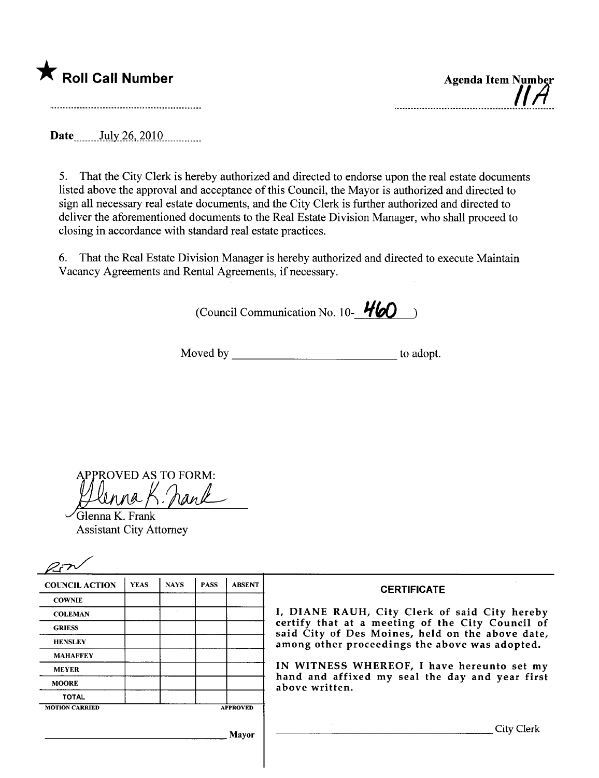

|  | <b>Agenda Item Number</b><br>$H$ H |
|--|------------------------------------|
|  |                                    |

Date July 26, 2010

5. That the City Clerk is hereby authorized and directed to endorse upon the real estate documents listed above the approval and acceptance of this Council, the Mayor is authorized and directed to sign all necessary real estate documents, and the City Clerk is further authorized and directed to deliver the aforementioned documents to the Real Estate Division Manager, who shall proceed to closing in accordance with standard real estate practices.

6. That the Real Estate Division Manager is hereby authorized and directed to execute Maintain Vacancy Agreements and Rental Agreements, if necessary.

(Council Communication No. 10- $\frac{\text{H}}{\text{H}}$ 

Moved by to adopt.

PROVED AS TO FORM:  $^{\prime}$ han $\ell$ 

Glenna K. Frank Assistant City Attorney

| <b>COUNCIL ACTION</b> | <b>YEAS</b> | <b>NAYS</b> | <b>PASS</b> | <b>ABSENT</b>                                  | <b>CERTIFICATE</b>                                                                                                                                    |  |  |
|-----------------------|-------------|-------------|-------------|------------------------------------------------|-------------------------------------------------------------------------------------------------------------------------------------------------------|--|--|
| <b>COWNIE</b>         |             |             |             |                                                |                                                                                                                                                       |  |  |
| <b>COLEMAN</b>        |             |             |             |                                                | I, DIANE RAUH, City Clerk of said City hereby<br>certify that at a meeting of the City Council of<br>said City of Des Moines, held on the above date, |  |  |
| <b>GRIESS</b>         |             |             |             |                                                |                                                                                                                                                       |  |  |
| <b>HENSLEY</b>        |             |             |             | among other proceedings the above was adopted. |                                                                                                                                                       |  |  |
| <b>MAHAFFEY</b>       |             |             |             |                                                |                                                                                                                                                       |  |  |
| <b>MEYER</b>          |             |             |             |                                                | IN WITNESS WHEREOF, I have hereunto set my                                                                                                            |  |  |
| <b>MOORE</b>          |             |             |             |                                                | hand and affixed my seal the day and year first<br>above written.                                                                                     |  |  |
| <b>TOTAL</b>          |             |             |             |                                                |                                                                                                                                                       |  |  |
| <b>MOTION CARRIED</b> |             |             |             | <b>APPROVED</b>                                |                                                                                                                                                       |  |  |
|                       |             |             |             | Mayor                                          | City C                                                                                                                                                |  |  |